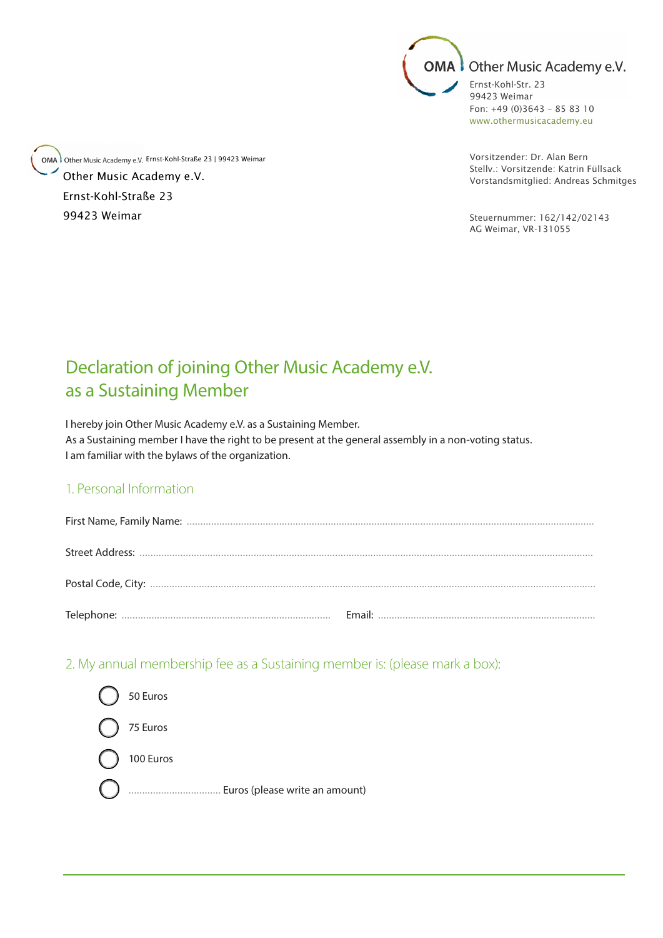

Fon:  $+49$  (0) 3643 - 85 83 10 www.othermusicacademy.eu

Vorsitzender: Dr. Alan Bern Stelly.: Vorsitzende: Katrin Füllsack Vorstandsmitglied: Andreas Schmitges

Steuernummer: 162/142/02143 AG Weimar, VR-131055

## Declaration of joining Other Music Academy e.V. as a Sustaining Member

.<br>I hereby join Other Music Academy e.V. as a Sustaining Member. As a Sustaining member I have the right to be present at the general assembly in a non-voting status. I am familiar with the bylaws of the organization.

## 1. Personal Information

2. My annual membership fee as a Sustaining member is: (please mark a box):



OMA Other Music Academy e.V. Ernst-Kohl-Straße 23 | 99423 Weimar Other Music Academy e.V. Ernst-Kohl-Straße 23 99423 Weimar